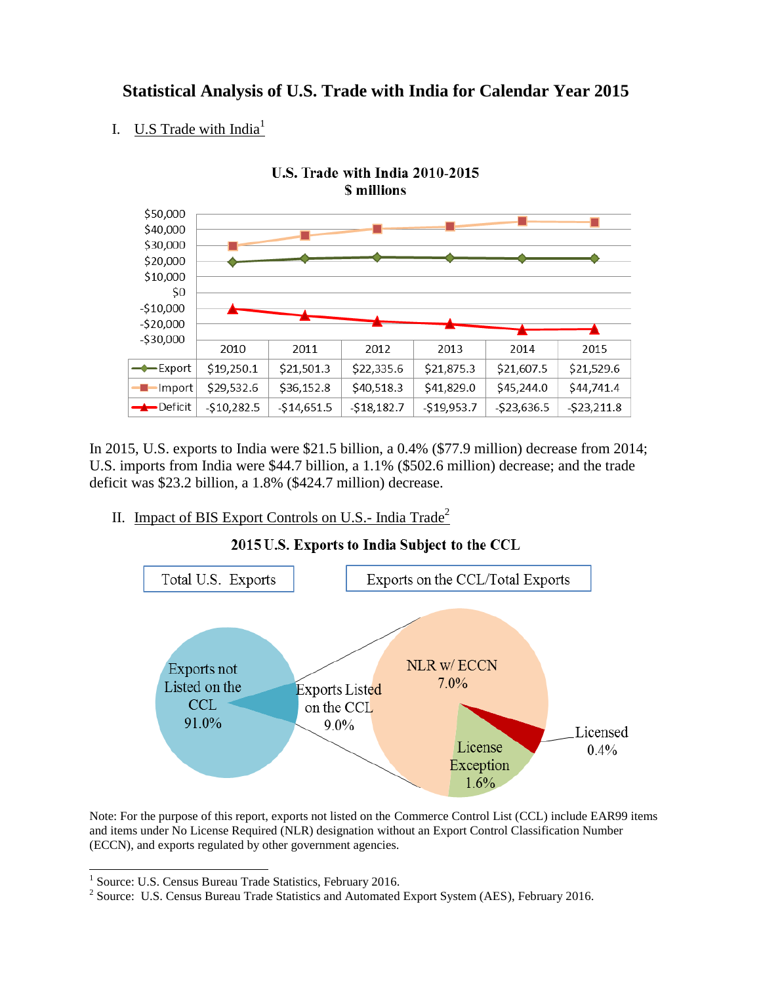## **Statistical Analysis of U.S. Trade with India for Calendar Year 2015**

### I. **U.S** Trade with India<sup>1</sup>



In 2015, U.S. exports to India were \$21.5 billion, a 0.4% (\$77.9 million) decrease from 2014; U.S. imports from India were \$44.7 billion, a 1.1% (\$502.6 million) decrease; and the trade deficit was \$23.2 billion, a 1.8% (\$424.7 million) decrease.

## II. Impact of BIS Export Controls on U.S.- India Trade<sup>2</sup>



2015 U.S. Exports to India Subject to the CCL

Note: For the purpose of this report, exports not listed on the Commerce Control List (CCL) include EAR99 items and items under No License Required (NLR) designation without an Export Control Classification Number (ECCN), and exports regulated by other government agencies.

 1 Source: U.S. Census Bureau Trade Statistics, February 2016.

<sup>&</sup>lt;sup>2</sup> Source: U.S. Census Bureau Trade Statistics and Automated Export System (AES), February 2016.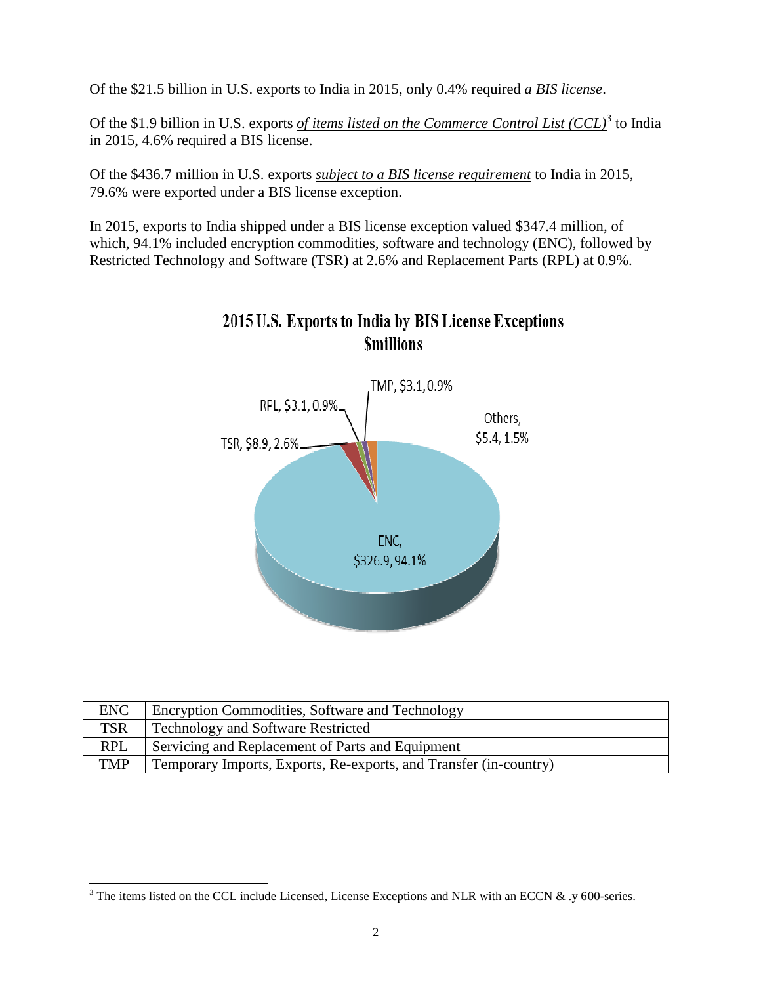Of the \$21.5 billion in U.S. exports to India in 2015, only 0.4% required *a BIS license*.

Of the \$1.9 billion in U.S. exports *of items listed on the Commerce Control List (CCL)*<sup>3</sup> to India in 2015, 4.6% required a BIS license.

Of the \$436.7 million in U.S. exports *subject to a BIS license requirement* to India in 2015, 79.6% were exported under a BIS license exception.

In 2015, exports to India shipped under a BIS license exception valued \$347.4 million, of which, 94.1% included encryption commodities, software and technology (ENC), followed by Restricted Technology and Software (TSR) at 2.6% and Replacement Parts (RPL) at 0.9%.



# 2015 U.S. Exports to India by BIS License Exceptions **Smillions**

| <b>ENC</b> | Encryption Commodities, Software and Technology                   |
|------------|-------------------------------------------------------------------|
| <b>TSR</b> | <b>Technology and Software Restricted</b>                         |
| <b>RPL</b> | Servicing and Replacement of Parts and Equipment                  |
| TMP        | Temporary Imports, Exports, Re-exports, and Transfer (in-country) |

 $\overline{a}$ 

<sup>&</sup>lt;sup>3</sup> The items listed on the CCL include Licensed, License Exceptions and NLR with an ECCN  $\&$  .y 600-series.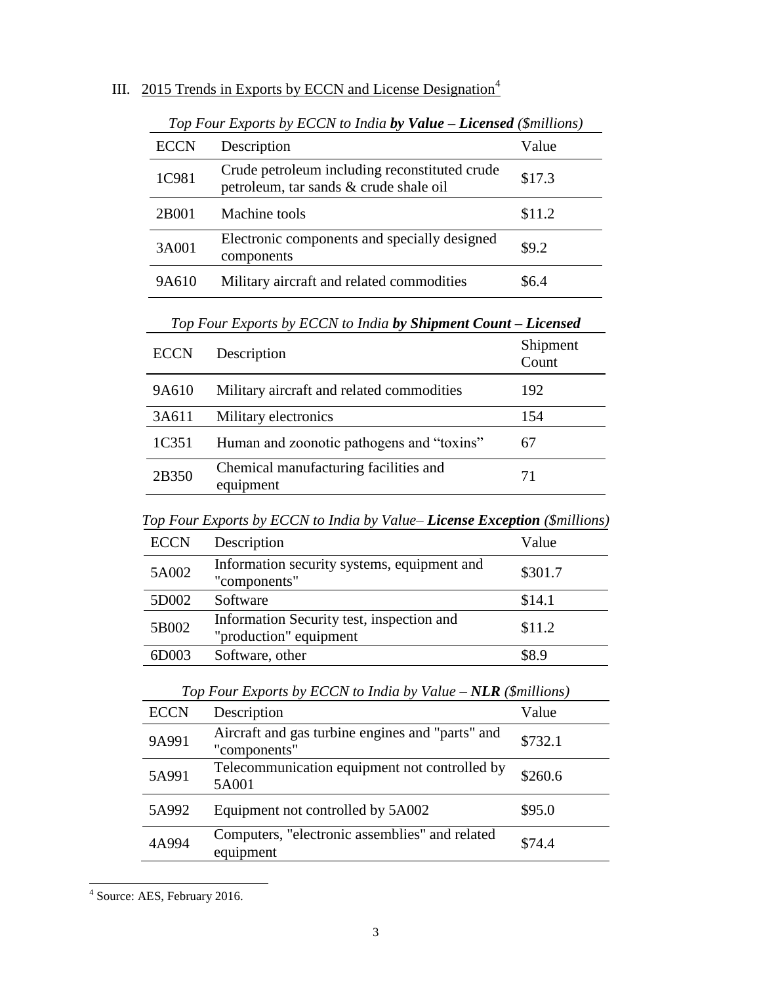|  |  | III. 2015 Trends in Exports by ECCN and License Designation <sup>4</sup> |  |  |  |
|--|--|--------------------------------------------------------------------------|--|--|--|
|--|--|--------------------------------------------------------------------------|--|--|--|

| <b>ECCN</b> | Description                                                                             | Value  |
|-------------|-----------------------------------------------------------------------------------------|--------|
| 1C981       | Crude petroleum including reconstituted crude<br>petroleum, tar sands & crude shale oil | \$17.3 |
| 2B001       | Machine tools                                                                           | \$11.2 |
| 3A001       | Electronic components and specially designed<br>components                              | \$9.2  |
| 9A610       | Military aircraft and related commodities                                               | RG 4   |

*Top Four Exports by ECCN to India by Value – Licensed (\$millions)*

*Top Four Exports by ECCN to India by Shipment Count – Licensed*

| <b>ECCN</b> | Description                                        | Shipment<br>Count |
|-------------|----------------------------------------------------|-------------------|
| 9A610       | Military aircraft and related commodities          | 192               |
| 3A611       | Military electronics                               | 154               |
| 1C351       | Human and zoonotic pathogens and "toxins"          | 67                |
| 2B350       | Chemical manufacturing facilities and<br>equipment | 71                |

*Top Four Exports by ECCN to India by Value– License Exception (\$millions)*

| <b>ECCN</b> | Description                                                         | Value   |
|-------------|---------------------------------------------------------------------|---------|
| 5A002       | Information security systems, equipment and<br>"components"         | \$301.7 |
| 5D002       | Software                                                            | \$14.1  |
| 5B002       | Information Security test, inspection and<br>"production" equipment | \$11.2  |
| 6D003       | Software, other                                                     | \$8.9   |

| Top Four Exports by ECCN to India by Value $-NLR$ (\$millions)   |         |  |  |  |  |
|------------------------------------------------------------------|---------|--|--|--|--|
| Description                                                      | Value   |  |  |  |  |
| Aircraft and gas turbine engines and "parts" and<br>"components" | \$732.1 |  |  |  |  |
| Telecommunication equipment not controlled by<br>5A001           | \$260.6 |  |  |  |  |
| Equipment not controlled by 5A002                                | \$95.0  |  |  |  |  |
| Computers, "electronic assemblies" and related<br>equipment      | \$74.4  |  |  |  |  |
|                                                                  |         |  |  |  |  |

 4 Source: AES, February 2016.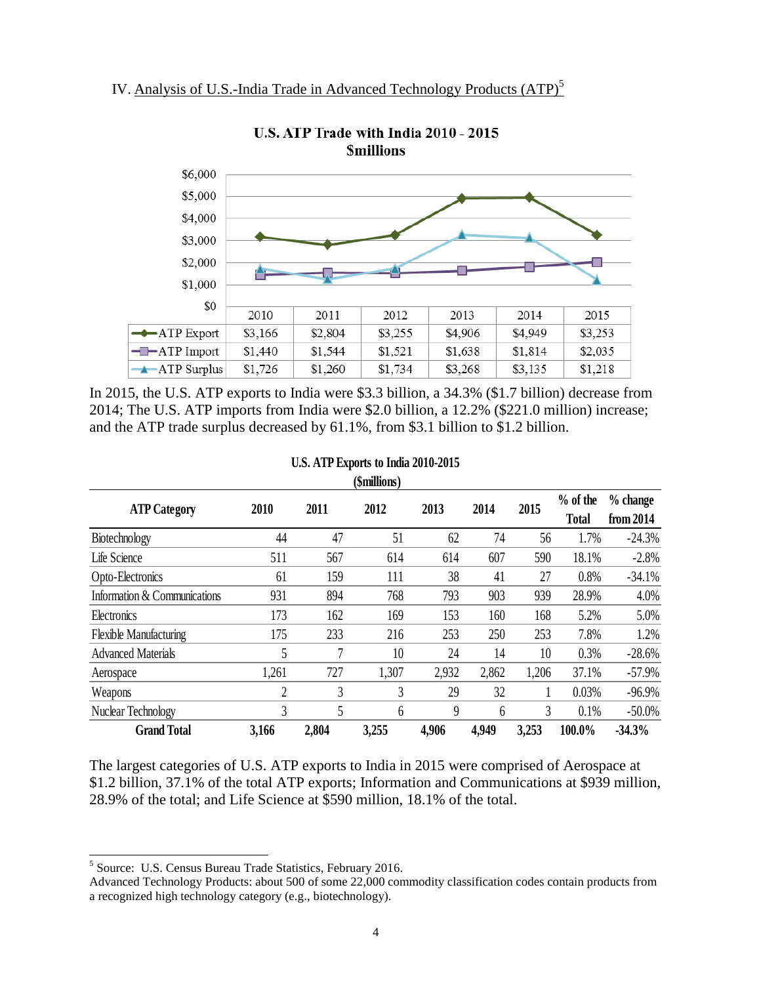

U.S. ATP Trade with India 2010 - 2015 **Smillions** 

In 2015, the U.S. ATP exports to India were \$3.3 billion, a 34.3% (\$1.7 billion) decrease from 2014; The U.S. ATP imports from India were \$2.0 billion, a 12.2% (\$221.0 million) increase; and the ATP trade surplus decreased by 61.1%, from \$3.1 billion to \$1.2 billion.

| (\$millions)                  |       |       |       |       |       |       |                            |                         |
|-------------------------------|-------|-------|-------|-------|-------|-------|----------------------------|-------------------------|
| <b>ATP Category</b>           | 2010  | 2011  | 2012  | 2013  | 2014  | 2015  | $%$ of the<br><b>Total</b> | $%$ change<br>from 2014 |
| Biotechnology                 | 44    | 47    | 51    | 62    | 74    | 56    | 1.7%                       | $-24.3%$                |
| Life Science                  | 511   | 567   | 614   | 614   | 607   | 590   | 18.1%                      | $-2.8%$                 |
| Opto-Electronics              | 61    | 159   | 111   | 38    | 41    | 27    | 0.8%                       | $-34.1%$                |
| Information & Communications  | 931   | 894   | 768   | 793   | 903   | 939   | 28.9%                      | 4.0%                    |
| Electronics                   | 173   | 162   | 169   | 153   | 160   | 168   | 5.2%                       | 5.0%                    |
| <b>Flexible Manufacturing</b> | 175   | 233   | 216   | 253   | 250   | 253   | 7.8%                       | 1.2%                    |
| <b>Advanced Materials</b>     | 5     | 7     | 10    | 24    | 14    | 10    | 0.3%                       | $-28.6%$                |
| Aerospace                     | 1,261 | 727   | 1,307 | 2,932 | 2,862 | 1,206 | 37.1%                      | $-57.9%$                |
| Weapons                       | 2     | 3     | 3     | 29    | 32    |       | 0.03%                      | $-96.9%$                |
| Nuclear Technology            | 3     | 5     | 6     | 9     | 6     | 3     | 0.1%                       | $-50.0\%$               |
| <b>Grand Total</b>            | 3,166 | 2,804 | 3,255 | 4,906 | 4,949 | 3,253 | 100.0%                     | $-34.3%$                |

### **U.S. ATP Exports to India 2010-2015**

The largest categories of U.S. ATP exports to India in 2015 were comprised of Aerospace at \$1.2 billion, 37.1% of the total ATP exports; Information and Communications at \$939 million, 28.9% of the total; and Life Science at \$590 million, 18.1% of the total.

 $\overline{a}$ 

<sup>&</sup>lt;sup>5</sup> Source: U.S. Census Bureau Trade Statistics, February 2016.

Advanced Technology Products: about 500 of some 22,000 commodity classification codes contain products from a recognized high technology category (e.g., biotechnology).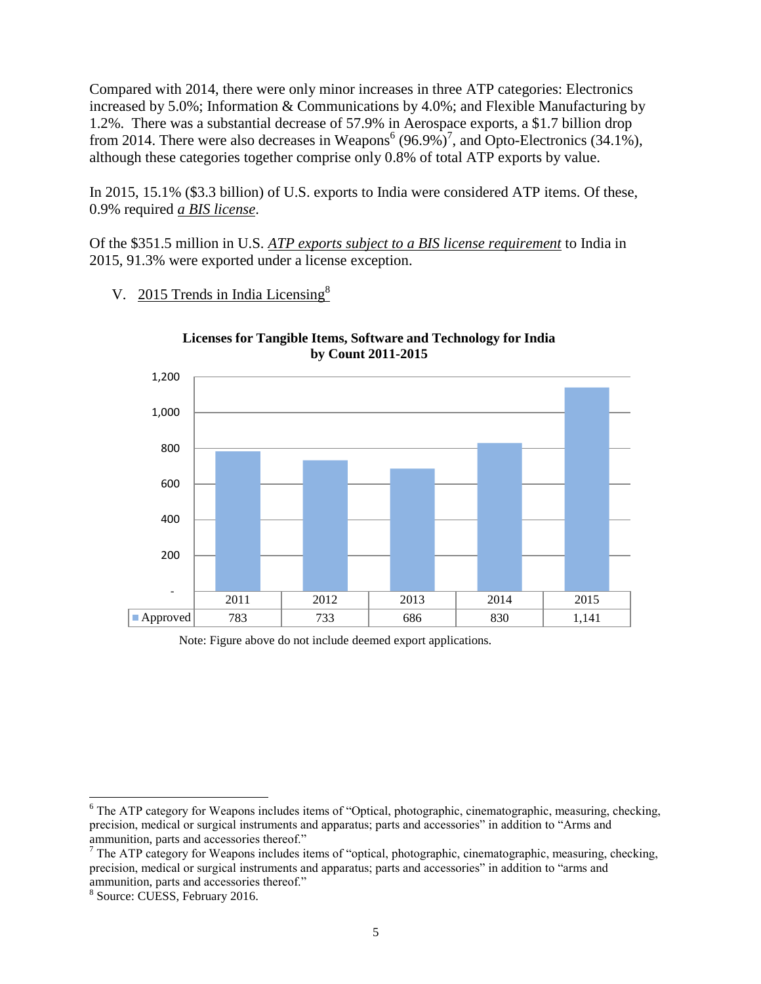Compared with 2014, there were only minor increases in three ATP categories: Electronics increased by 5.0%; Information & Communications by 4.0%; and Flexible Manufacturing by 1.2%. There was a substantial decrease of 57.9% in Aerospace exports, a \$1.7 billion drop from 2014. There were also decreases in Weapons<sup>6</sup> (96.9%)<sup>7</sup>, and Opto-Electronics (34.1%), although these categories together comprise only 0.8% of total ATP exports by value.

In 2015, 15.1% (\$3.3 billion) of U.S. exports to India were considered ATP items. Of these, 0.9% required *a BIS license*.

Of the \$351.5 million in U.S. *ATP exports subject to a BIS license requirement* to India in 2015, 91.3% were exported under a license exception.

### V. 2015 Trends in India Licensing<sup>8</sup>



#### **Licenses for Tangible Items, Software and Technology for India by Count 2011-2015**

Note: Figure above do not include deemed export applications.

 $\overline{a}$ 

<sup>&</sup>lt;sup>6</sup> The ATP category for Weapons includes items of "Optical, photographic, cinematographic, measuring, checking, precision, medical or surgical instruments and apparatus; parts and accessories" in addition to "Arms and ammunition, parts and accessories thereof."

<sup>&</sup>lt;sup>7</sup> The ATP category for Weapons includes items of "optical, photographic, cinematographic, measuring, checking, precision, medical or surgical instruments and apparatus; parts and accessories" in addition to "arms and ammunition, parts and accessories thereof."

<sup>8</sup> Source: CUESS, February 2016.